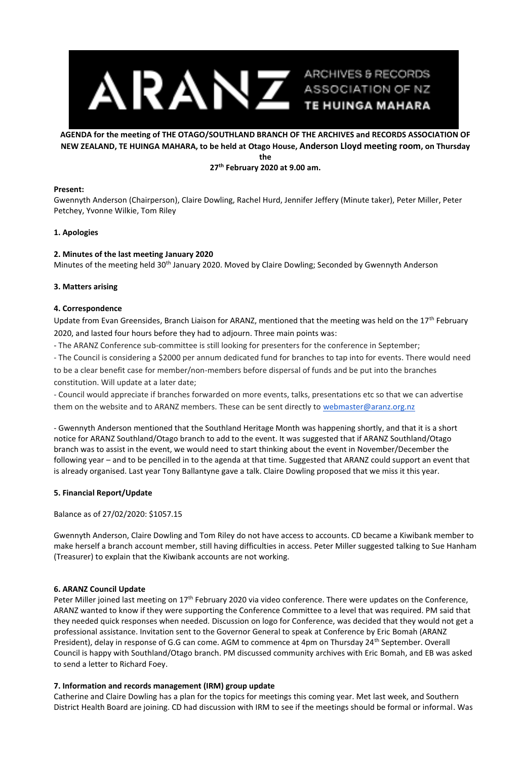

# **AGENDA for the meeting of THE OTAGO/SOUTHLAND BRANCH OF THE ARCHIVES and RECORDS ASSOCIATION OF NEW ZEALAND, TE HUINGA MAHARA, to be held at Otago House, Anderson Lloyd meeting room, on Thursday the 27th February 2020 at 9.00 am.**

## **Present:**

Gwennyth Anderson (Chairperson), Claire Dowling, Rachel Hurd, Jennifer Jeffery (Minute taker), Peter Miller, Peter Petchey, Yvonne Wilkie, Tom Riley

## **1. Apologies**

# **2. Minutes of the last meeting January 2020**

Minutes of the meeting held 30<sup>th</sup> January 2020. Moved by Claire Dowling; Seconded by Gwennyth Anderson

#### **3. Matters arising**

## **4. Correspondence**

Update from Evan Greensides, Branch Liaison for ARANZ, mentioned that the meeting was held on the  $17<sup>th</sup>$  February 2020, and lasted four hours before they had to adjourn. Three main points was:

- The ARANZ Conference sub-committee is still looking for presenters for the conference in September;

- The Council is considering a \$2000 per annum dedicated fund for branches to tap into for events. There would need to be a clear benefit case for member/non-members before dispersal of funds and be put into the branches constitution. Will update at a later date;

- Council would appreciate if branches forwarded on more events, talks, presentations etc so that we can advertise them on the website and to ARANZ members. These can be sent directly to [webmaster@aranz.org.nz](mailto:webmaster@aranz.org.nz)

- Gwennyth Anderson mentioned that the Southland Heritage Month was happening shortly, and that it is a short notice for ARANZ Southland/Otago branch to add to the event. It was suggested that if ARANZ Southland/Otago branch was to assist in the event, we would need to start thinking about the event in November/December the following year – and to be pencilled in to the agenda at that time. Suggested that ARANZ could support an event that is already organised. Last year Tony Ballantyne gave a talk. Claire Dowling proposed that we miss it this year.

# **5. Financial Report/Update**

Balance as of 27/02/2020: \$1057.15

Gwennyth Anderson, Claire Dowling and Tom Riley do not have access to accounts. CD became a Kiwibank member to make herself a branch account member, still having difficulties in access. Peter Miller suggested talking to Sue Hanham (Treasurer) to explain that the Kiwibank accounts are not working.

# **6. ARANZ Council Update**

Peter Miller joined last meeting on 17<sup>th</sup> February 2020 via video conference. There were updates on the Conference, ARANZ wanted to know if they were supporting the Conference Committee to a level that was required. PM said that they needed quick responses when needed. Discussion on logo for Conference, was decided that they would not get a professional assistance. Invitation sent to the Governor General to speak at Conference by Eric Bomah (ARANZ President), delay in response of G.G can come. AGM to commence at 4pm on Thursday 24<sup>th</sup> September. Overall Council is happy with Southland/Otago branch. PM discussed community archives with Eric Bomah, and EB was asked to send a letter to Richard Foey.

# **7. Information and records management (IRM) group update**

Catherine and Claire Dowling has a plan for the topics for meetings this coming year. Met last week, and Southern District Health Board are joining. CD had discussion with IRM to see if the meetings should be formal or informal. Was